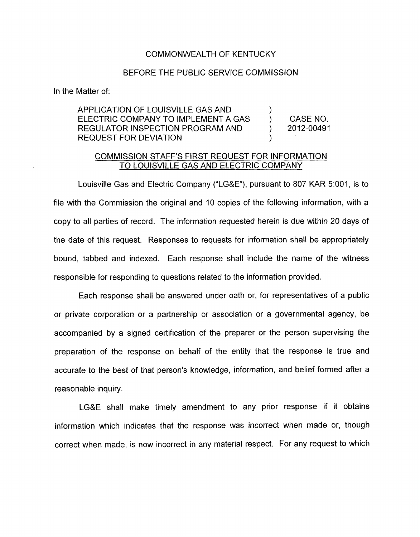## COMMONWEALTH OF KENTUCKY

## BEFORE THE PUBLIC SERVICE COMMISSION

In the Matter of:

## APPLICATION OF LOUISVILLE GAS AND ELECTRIC COMPANY TO IMPLEMENT A GAS (CASE NO. REGULATOR INSPECTION PROGRAM AND (2012-00491)  $\sum_{i=1}^{n}$ REQUEST FOR DEVIATION (1)

## COMMISSION STAFF'S FIRST REQUEST FOR INFORMATION TO LOUISVILLE GAS AND ELECTRIC COMPANY

Louisville Gas and Electric Company ("LG&E"), pursuant to 807 KAR 5:001, is to file with the Commission the original and 10 copies of the following information, with a copy to all parties of record. The information requested herein is due within 20 days of the date of this request. Responses to requests for information shall be appropriately bound, tabbed and indexed. Each response shall include the name of the witness responsible for responding to questions related to the information provided.

Each response shall be answered under oath or, for representatives of a public or private corporation or a partnership or association or a governmental agency, be accompanied by a signed certification of the preparer or the person supervising the preparation of the response on behalf of the entity that the response is true and accurate to the best of that person's knowledge, information, and belief formed after a reasonable inquiry.

LG&E shall make timely amendment to any prior response if it obtains information which indicates that the response was incorrect when made or, though correct when made, is now incorrect in any material respect. For any request to which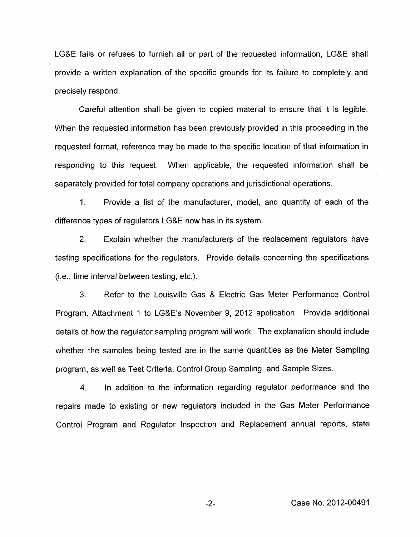LG&E fails or refuses to furnish all or part of the requested information, LG&E shall provide a written explanation of the specific grounds for its failure to completely and precisely respond.

Careful attention shall be given to copied material to ensure that it is legible. When the requested information has been previously provided in this proceeding in the requested format, reference may be made to the specific location of that information in responding to this request. When applicable, the requested information shall be separately provided for total company operations and jurisdictional operations.

1. Provide a list of the manufacturer, model, and quantity of each of the difference types of regulators LG&E now has in its system.

2. Explain whether the manufacturers of the replacement regulators have testing specifications for the regulators. Provide details concerning the specifications (i.e., time interval between testing, etc.).

**3.** Refer to the Louisville Gas & Electric Gas Meter Performance Control Program, Attachment 1 to LG&E's November 9, 2012 application. Provide additional details of how the regulator sampling program will work. The explanation should include whether the samples being tested are in the same quantities as the Meter Sampling program, as well as Test Criteria, Control Group Sampling, and Sample Sizes.

4. In addition to the information regarding regulator performance and the repairs made to existing or new regulators included in the Gas Meter Performance Control Program and Regulator Inspection and Replacement annual reports, state

-2- Case No. 2012-00491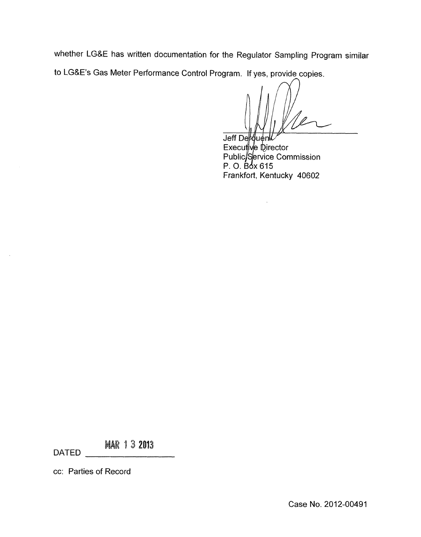whether LG&E has written documentation for the Regulator Sampling Program similar to LG&E's Gas Meter Performance Control Program. If yes, provide copies.

Jeff Derouenl Executive Director<br>Public/Service Commission<br>P. O. Box 615 Frankfort, Kentucky 40602

 $\bar{A}$ 

**MAR 13 2013** 

DATED

 $\sim$ 

cc: Fatties of Record